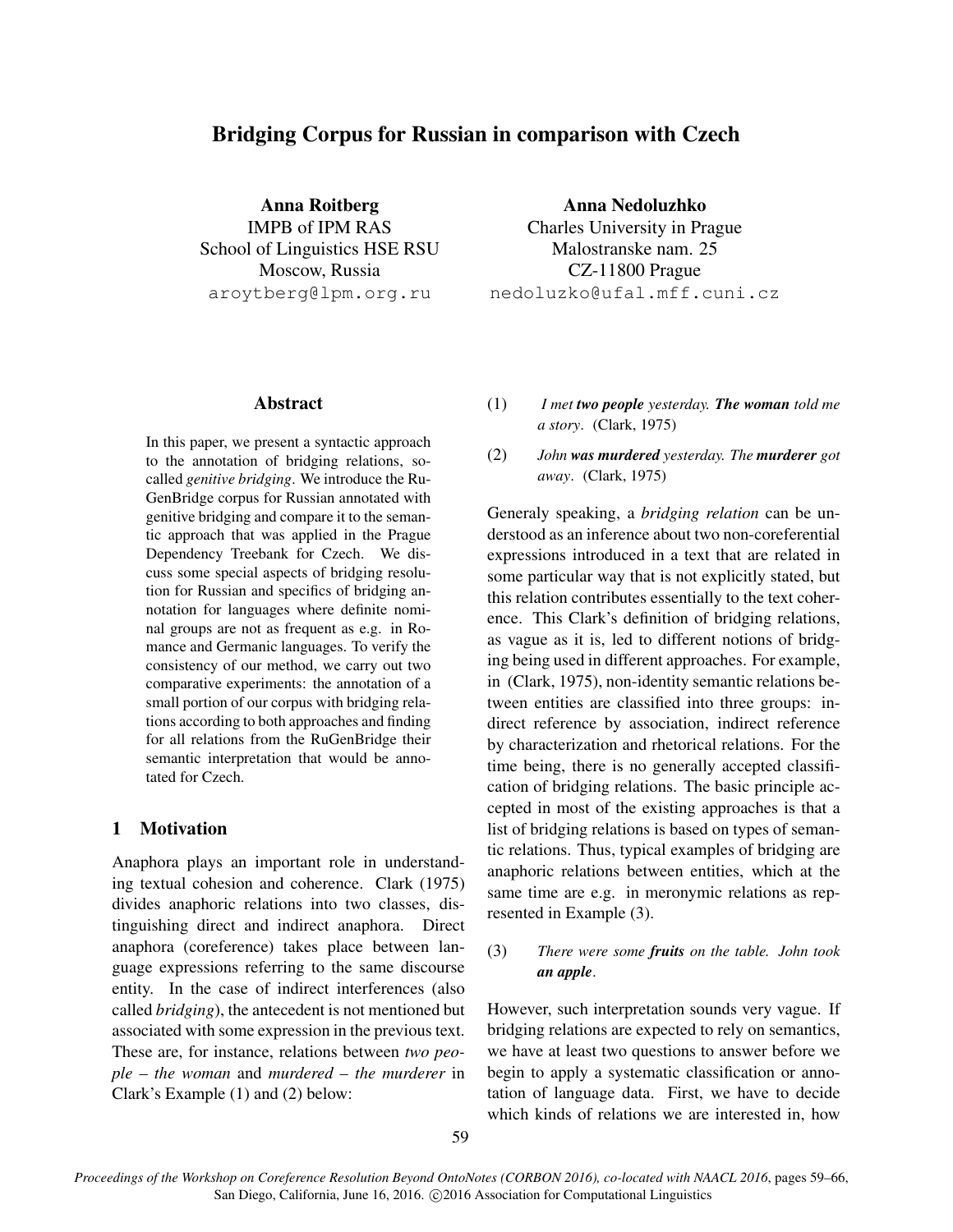# Bridging Corpus for Russian in comparison with Czech

Anna Roitberg IMPB of IPM RAS School of Linguistics HSE RSU Moscow, Russia aroytberg@lpm.org.ru

Anna Nedoluzhko Charles University in Prague Malostranske nam. 25 CZ-11800 Prague nedoluzko@ufal.mff.cuni.cz

### Abstract

In this paper, we present a syntactic approach to the annotation of bridging relations, socalled *genitive bridging*. We introduce the Ru-GenBridge corpus for Russian annotated with genitive bridging and compare it to the semantic approach that was applied in the Prague Dependency Treebank for Czech. We discuss some special aspects of bridging resolution for Russian and specifics of bridging annotation for languages where definite nominal groups are not as frequent as e.g. in Romance and Germanic languages. To verify the consistency of our method, we carry out two comparative experiments: the annotation of a small portion of our corpus with bridging relations according to both approaches and finding for all relations from the RuGenBridge their semantic interpretation that would be annotated for Czech.

### 1 Motivation

Anaphora plays an important role in understanding textual cohesion and coherence. Clark (1975) divides anaphoric relations into two classes, distinguishing direct and indirect anaphora. Direct anaphora (coreference) takes place between language expressions referring to the same discourse entity. In the case of indirect interferences (also called *bridging*), the antecedent is not mentioned but associated with some expression in the previous text. These are, for instance, relations between *two people – the woman* and *murdered – the murderer* in Clark's Example (1) and (2) below:

- (1) *I met two people yesterday. The woman told me a story*. (Clark, 1975)
- (2) *John was murdered yesterday. The murderer got away*. (Clark, 1975)

Generaly speaking, a *bridging relation* can be understood as an inference about two non-coreferential expressions introduced in a text that are related in some particular way that is not explicitly stated, but this relation contributes essentially to the text coherence. This Clark's definition of bridging relations, as vague as it is, led to different notions of bridging being used in different approaches. For example, in (Clark, 1975), non-identity semantic relations between entities are classified into three groups: indirect reference by association, indirect reference by characterization and rhetorical relations. For the time being, there is no generally accepted classification of bridging relations. The basic principle accepted in most of the existing approaches is that a list of bridging relations is based on types of semantic relations. Thus, typical examples of bridging are anaphoric relations between entities, which at the same time are e.g. in meronymic relations as represented in Example (3).

(3) *There were some fruits on the table. John took an apple*.

However, such interpretation sounds very vague. If bridging relations are expected to rely on semantics, we have at least two questions to answer before we begin to apply a systematic classification or annotation of language data. First, we have to decide which kinds of relations we are interested in, how

*Proceedings of the Workshop on Coreference Resolution Beyond OntoNotes (CORBON 2016), co-located with NAACL 2016*, pages 59–66, San Diego, California, June 16, 2016. ©2016 Association for Computational Linguistics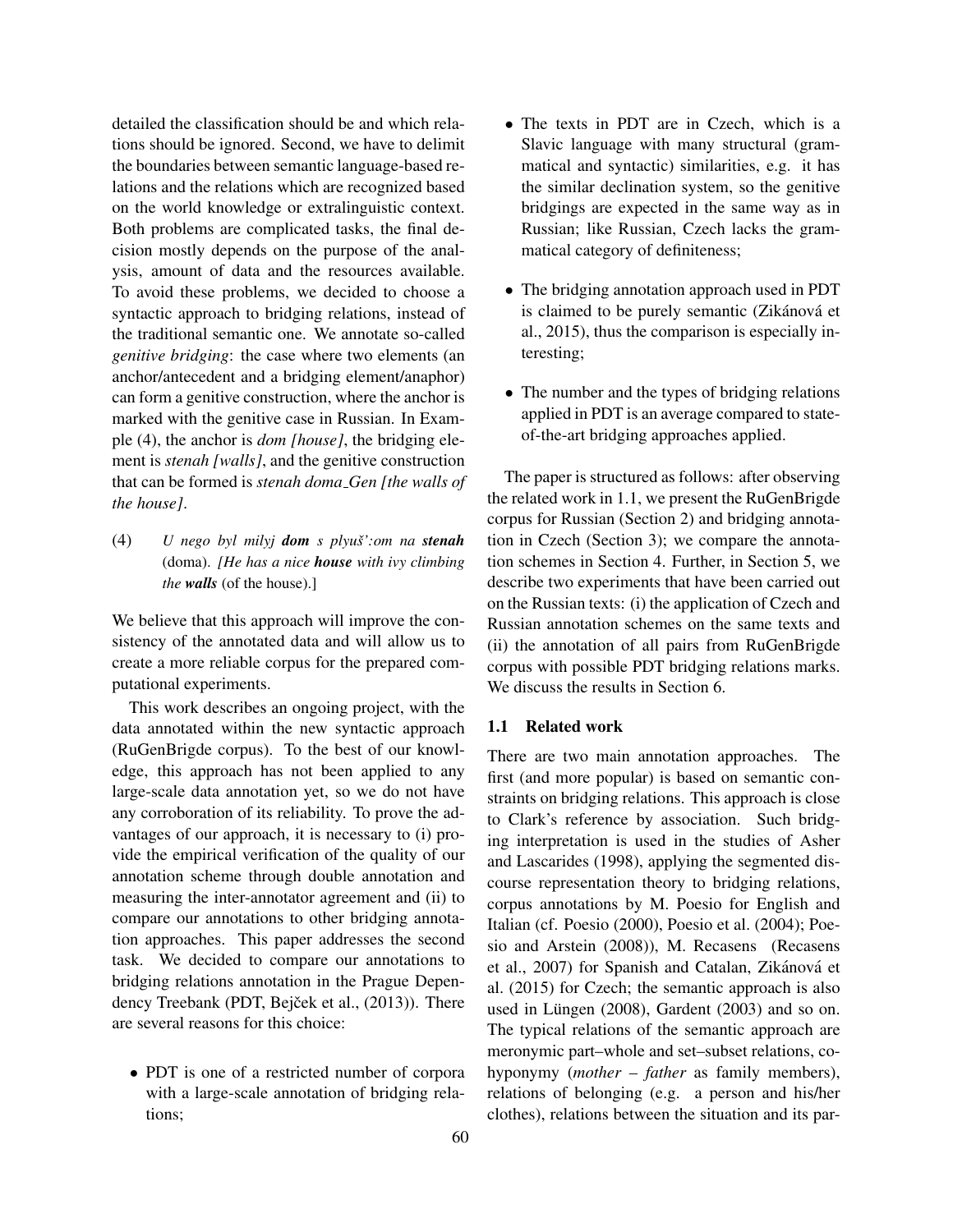detailed the classification should be and which relations should be ignored. Second, we have to delimit the boundaries between semantic language-based relations and the relations which are recognized based on the world knowledge or extralinguistic context. Both problems are complicated tasks, the final decision mostly depends on the purpose of the analysis, amount of data and the resources available. To avoid these problems, we decided to choose a syntactic approach to bridging relations, instead of the traditional semantic one. We annotate so-called *genitive bridging*: the case where two elements (an anchor/antecedent and a bridging element/anaphor) can form a genitive construction, where the anchor is marked with the genitive case in Russian. In Example (4), the anchor is *dom [house]*, the bridging element is *stenah [walls]*, and the genitive construction that can be formed is *stenah doma Gen [the walls of the house]*.

(4) *U* nego byl milyj **dom** *s* plyuš':om na *stenah* (doma). *[He has a nice house with ivy climbing the walls* (of the house).]

We believe that this approach will improve the consistency of the annotated data and will allow us to create a more reliable corpus for the prepared computational experiments.

This work describes an ongoing project, with the data annotated within the new syntactic approach (RuGenBrigde corpus). To the best of our knowledge, this approach has not been applied to any large-scale data annotation yet, so we do not have any corroboration of its reliability. To prove the advantages of our approach, it is necessary to (i) provide the empirical verification of the quality of our annotation scheme through double annotation and measuring the inter-annotator agreement and (ii) to compare our annotations to other bridging annotation approaches. This paper addresses the second task. We decided to compare our annotations to bridging relations annotation in the Prague Dependency Treebank (PDT, Bejček et al., (2013)). There are several reasons for this choice:

• PDT is one of a restricted number of corpora with a large-scale annotation of bridging relations;

- The texts in PDT are in Czech, which is a Slavic language with many structural (grammatical and syntactic) similarities, e.g. it has the similar declination system, so the genitive bridgings are expected in the same way as in Russian; like Russian, Czech lacks the grammatical category of definiteness;
- The bridging annotation approach used in PDT is claimed to be purely semantic (Zikánová et al., 2015), thus the comparison is especially interesting;
- The number and the types of bridging relations applied in PDT is an average compared to stateof-the-art bridging approaches applied.

The paper is structured as follows: after observing the related work in 1.1, we present the RuGenBrigde corpus for Russian (Section 2) and bridging annotation in Czech (Section 3); we compare the annotation schemes in Section 4. Further, in Section 5, we describe two experiments that have been carried out on the Russian texts: (i) the application of Czech and Russian annotation schemes on the same texts and (ii) the annotation of all pairs from RuGenBrigde corpus with possible PDT bridging relations marks. We discuss the results in Section 6.

### 1.1 Related work

There are two main annotation approaches. The first (and more popular) is based on semantic constraints on bridging relations. This approach is close to Clark's reference by association. Such bridging interpretation is used in the studies of Asher and Lascarides (1998), applying the segmented discourse representation theory to bridging relations, corpus annotations by M. Poesio for English and Italian (cf. Poesio (2000), Poesio et al. (2004); Poesio and Arstein (2008)), M. Recasens (Recasens et al., 2007) for Spanish and Catalan, Zikánová et al. (2015) for Czech; the semantic approach is also used in Lüngen  $(2008)$ , Gardent  $(2003)$  and so on. The typical relations of the semantic approach are meronymic part–whole and set–subset relations, cohyponymy (*mother – father* as family members), relations of belonging (e.g. a person and his/her clothes), relations between the situation and its par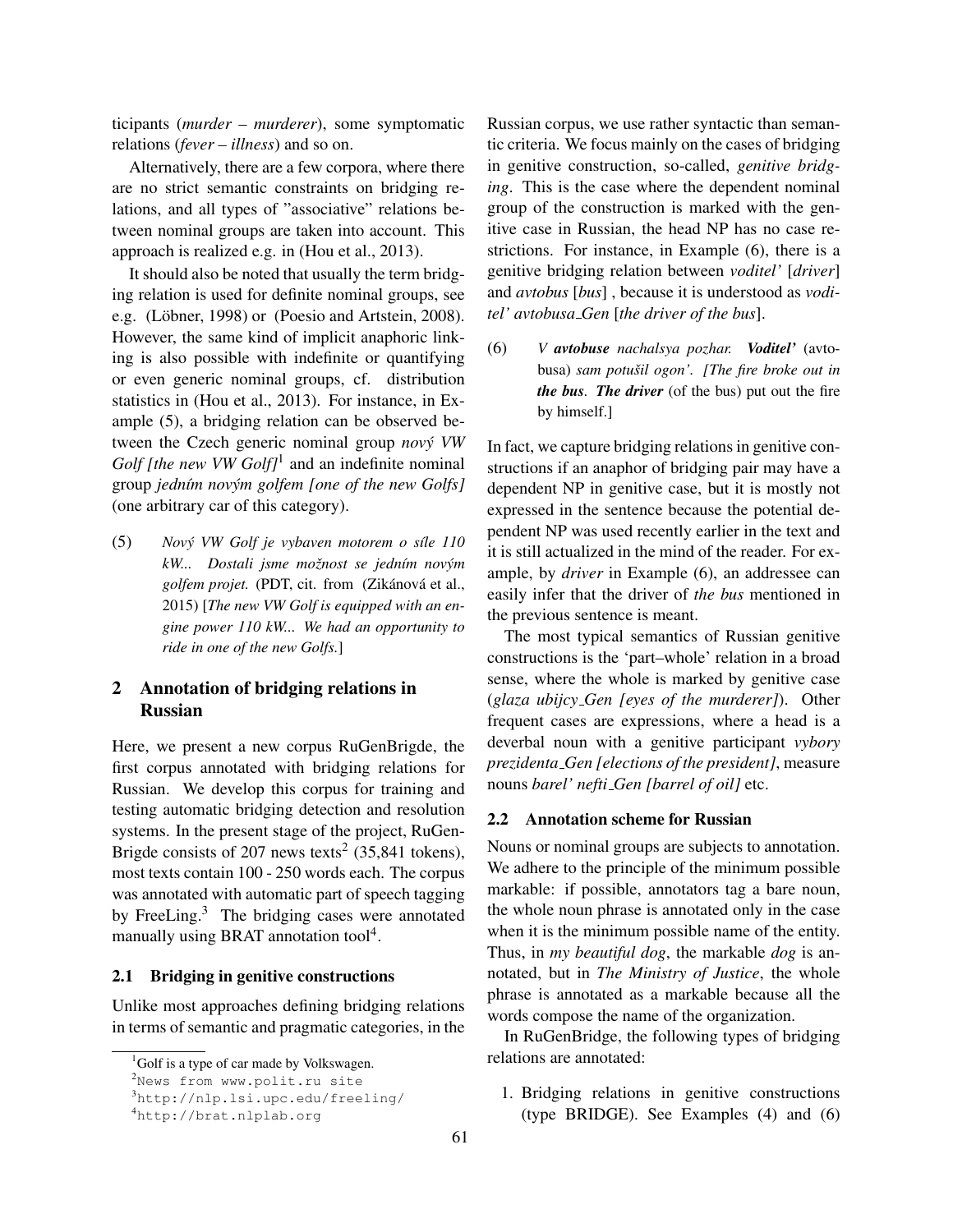ticipants (*murder – murderer*), some symptomatic relations (*fever – illness*) and so on.

Alternatively, there are a few corpora, where there are no strict semantic constraints on bridging relations, and all types of "associative" relations between nominal groups are taken into account. This approach is realized e.g. in (Hou et al., 2013).

It should also be noted that usually the term bridging relation is used for definite nominal groups, see e.g. (Löbner, 1998) or (Poesio and Artstein, 2008). However, the same kind of implicit anaphoric linking is also possible with indefinite or quantifying or even generic nominal groups, cf. distribution statistics in (Hou et al., 2013). For instance, in Example (5), a bridging relation can be observed between the Czech generic nominal group *novy VW ´ Golf [the new VW Golf]*<sup>1</sup> and an indefinite nominal group *jedn´ım novym golfem [one of the new Golfs] ´* (one arbitrary car of this category).

(5) *Nový VW Golf je vybaven motorem o síle 110 kW... Dostali jsme možnost se jedním novým* golfem projet. (PDT, cit. from (Zikánová et al., 2015) [*The new VW Golf is equipped with an engine power 110 kW... We had an opportunity to ride in one of the new Golfs.*]

# 2 Annotation of bridging relations in Russian

Here, we present a new corpus RuGenBrigde, the first corpus annotated with bridging relations for Russian. We develop this corpus for training and testing automatic bridging detection and resolution systems. In the present stage of the project, RuGen-Brigde consists of 207 news texts<sup>2</sup> (35,841 tokens), most texts contain 100 - 250 words each. The corpus was annotated with automatic part of speech tagging by FreeLing.<sup>3</sup> The bridging cases were annotated manually using BRAT annotation tool<sup>4</sup>.

### 2.1 Bridging in genitive constructions

Unlike most approaches defining bridging relations in terms of semantic and pragmatic categories, in the Russian corpus, we use rather syntactic than semantic criteria. We focus mainly on the cases of bridging in genitive construction, so-called, *genitive bridging*. This is the case where the dependent nominal group of the construction is marked with the genitive case in Russian, the head NP has no case restrictions. For instance, in Example (6), there is a genitive bridging relation between *voditel'* [*driver*] and *avtobus* [*bus*] , because it is understood as *voditel' avtobusa Gen* [*the driver of the bus*].

(6) *V avtobuse nachalsya pozhar. Voditel'* (avtobusa) *sam potušil ogon'.* [The fire broke out in *the bus. The driver* (of the bus) put out the fire by himself.]

In fact, we capture bridging relations in genitive constructions if an anaphor of bridging pair may have a dependent NP in genitive case, but it is mostly not expressed in the sentence because the potential dependent NP was used recently earlier in the text and it is still actualized in the mind of the reader. For example, by *driver* in Example (6), an addressee can easily infer that the driver of *the bus* mentioned in the previous sentence is meant.

The most typical semantics of Russian genitive constructions is the 'part–whole' relation in a broad sense, where the whole is marked by genitive case (*glaza ubijcy Gen [eyes of the murderer]*). Other frequent cases are expressions, where a head is a deverbal noun with a genitive participant *vybory prezidenta Gen [elections of the president]*, measure nouns *barel' nefti Gen [barrel of oil]* etc.

#### 2.2 Annotation scheme for Russian

Nouns or nominal groups are subjects to annotation. We adhere to the principle of the minimum possible markable: if possible, annotators tag a bare noun, the whole noun phrase is annotated only in the case when it is the minimum possible name of the entity. Thus, in *my beautiful dog*, the markable *dog* is annotated, but in *The Ministry of Justice*, the whole phrase is annotated as a markable because all the words compose the name of the organization.

In RuGenBridge, the following types of bridging relations are annotated:

1. Bridging relations in genitive constructions (type BRIDGE). See Examples (4) and (6)

 $1$ Golf is a type of car made by Volkswagen.

<sup>&</sup>lt;sup>2</sup>News from www.polit.ru site

<sup>3</sup>http://nlp.lsi.upc.edu/freeling/

<sup>4</sup>http://brat.nlplab.org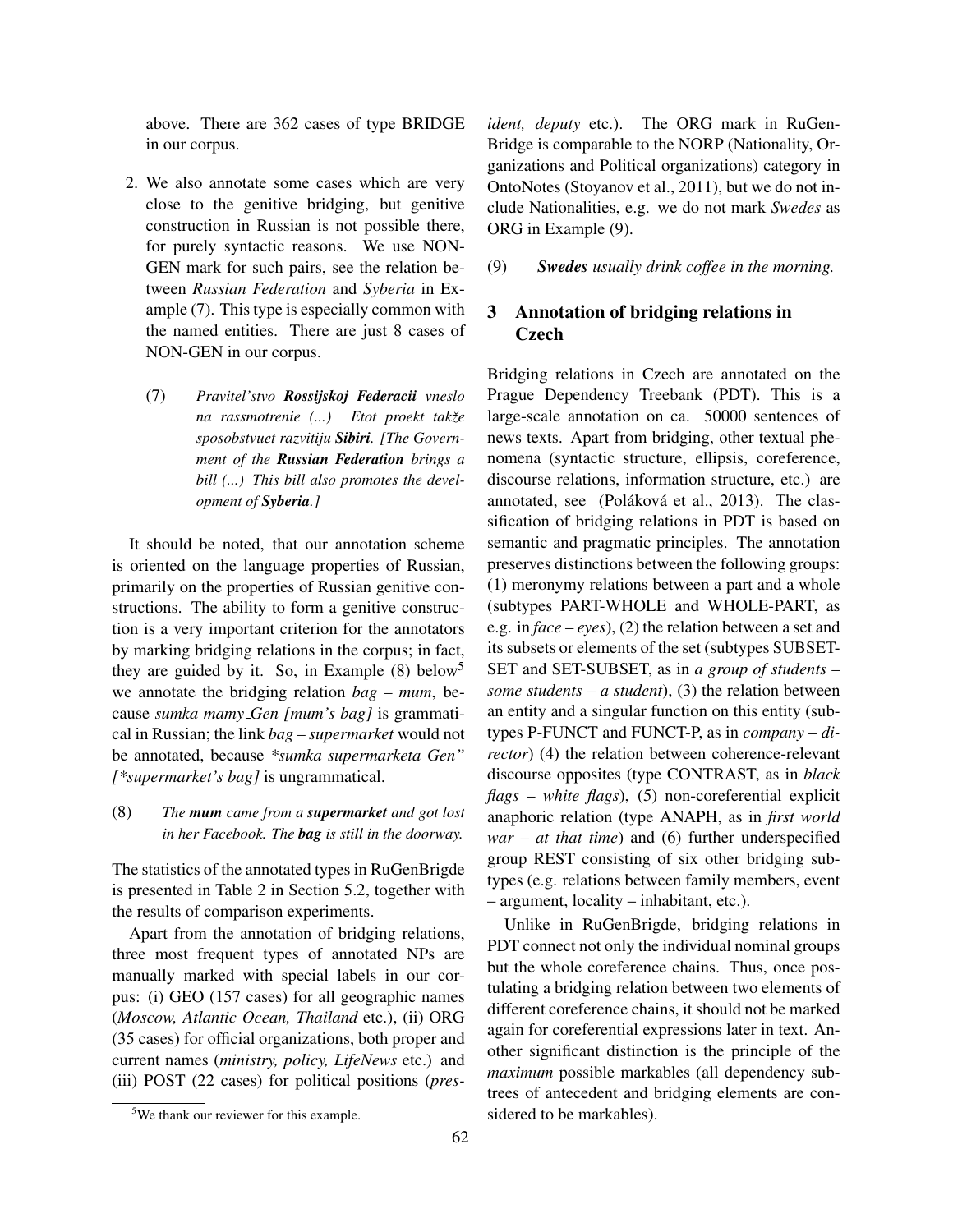above. There are 362 cases of type BRIDGE in our corpus.

- 2. We also annotate some cases which are very close to the genitive bridging, but genitive construction in Russian is not possible there, for purely syntactic reasons. We use NON-GEN mark for such pairs, see the relation between *Russian Federation* and *Syberia* in Example (7). This type is especially common with the named entities. There are just 8 cases of NON-GEN in our corpus.
	- (7) *Pravitel'stvo Rossijskoj Federacii vneslo na rassmotrenie (...)* Etot proekt takže *sposobstvuet razvitiju Sibiri. [The Government of the Russian Federation brings a bill (...) This bill also promotes the development of Syberia.]*

It should be noted, that our annotation scheme is oriented on the language properties of Russian, primarily on the properties of Russian genitive constructions. The ability to form a genitive construction is a very important criterion for the annotators by marking bridging relations in the corpus; in fact, they are guided by it. So, in Example (8) below<sup>5</sup> we annotate the bridging relation *bag – mum*, because *sumka mamy Gen [mum's bag]* is grammatical in Russian; the link *bag – supermarket* would not be annotated, because *\*sumka supermarketa Gen" [\*supermarket's bag]* is ungrammatical.

(8) *The mum came from a supermarket and got lost in her Facebook. The bag is still in the doorway.*

The statistics of the annotated types in RuGenBrigde is presented in Table 2 in Section 5.2, together with the results of comparison experiments.

Apart from the annotation of bridging relations, three most frequent types of annotated NPs are manually marked with special labels in our corpus: (i) GEO (157 cases) for all geographic names (*Moscow, Atlantic Ocean, Thailand* etc.), (ii) ORG (35 cases) for official organizations, both proper and current names (*ministry, policy, LifeNews* etc.) and (iii) POST (22 cases) for political positions (*pres-* *ident, deputy* etc.). The ORG mark in RuGen-Bridge is comparable to the NORP (Nationality, Organizations and Political organizations) category in OntoNotes (Stoyanov et al., 2011), but we do not include Nationalities, e.g. we do not mark *Swedes* as ORG in Example (9).

(9) *Swedes usually drink coffee in the morning.*

# 3 Annotation of bridging relations in **Czech**

Bridging relations in Czech are annotated on the Prague Dependency Treebank (PDT). This is a large-scale annotation on ca. 50000 sentences of news texts. Apart from bridging, other textual phenomena (syntactic structure, ellipsis, coreference, discourse relations, information structure, etc.) are annotated, see (Poláková et al., 2013). The classification of bridging relations in PDT is based on semantic and pragmatic principles. The annotation preserves distinctions between the following groups: (1) meronymy relations between a part and a whole (subtypes PART-WHOLE and WHOLE-PART, as e.g. in *face – eyes*), (2) the relation between a set and its subsets or elements of the set (subtypes SUBSET-SET and SET-SUBSET, as in *a group of students – some students – a student*), (3) the relation between an entity and a singular function on this entity (subtypes P-FUNCT and FUNCT-P, as in *company – director*) (4) the relation between coherence-relevant discourse opposites (type CONTRAST, as in *black flags – white flags*), (5) non-coreferential explicit anaphoric relation (type ANAPH, as in *first world war – at that time*) and (6) further underspecified group REST consisting of six other bridging subtypes (e.g. relations between family members, event – argument, locality – inhabitant, etc.).

Unlike in RuGenBrigde, bridging relations in PDT connect not only the individual nominal groups but the whole coreference chains. Thus, once postulating a bridging relation between two elements of different coreference chains, it should not be marked again for coreferential expressions later in text. Another significant distinction is the principle of the *maximum* possible markables (all dependency subtrees of antecedent and bridging elements are considered to be markables).

<sup>&</sup>lt;sup>5</sup>We thank our reviewer for this example.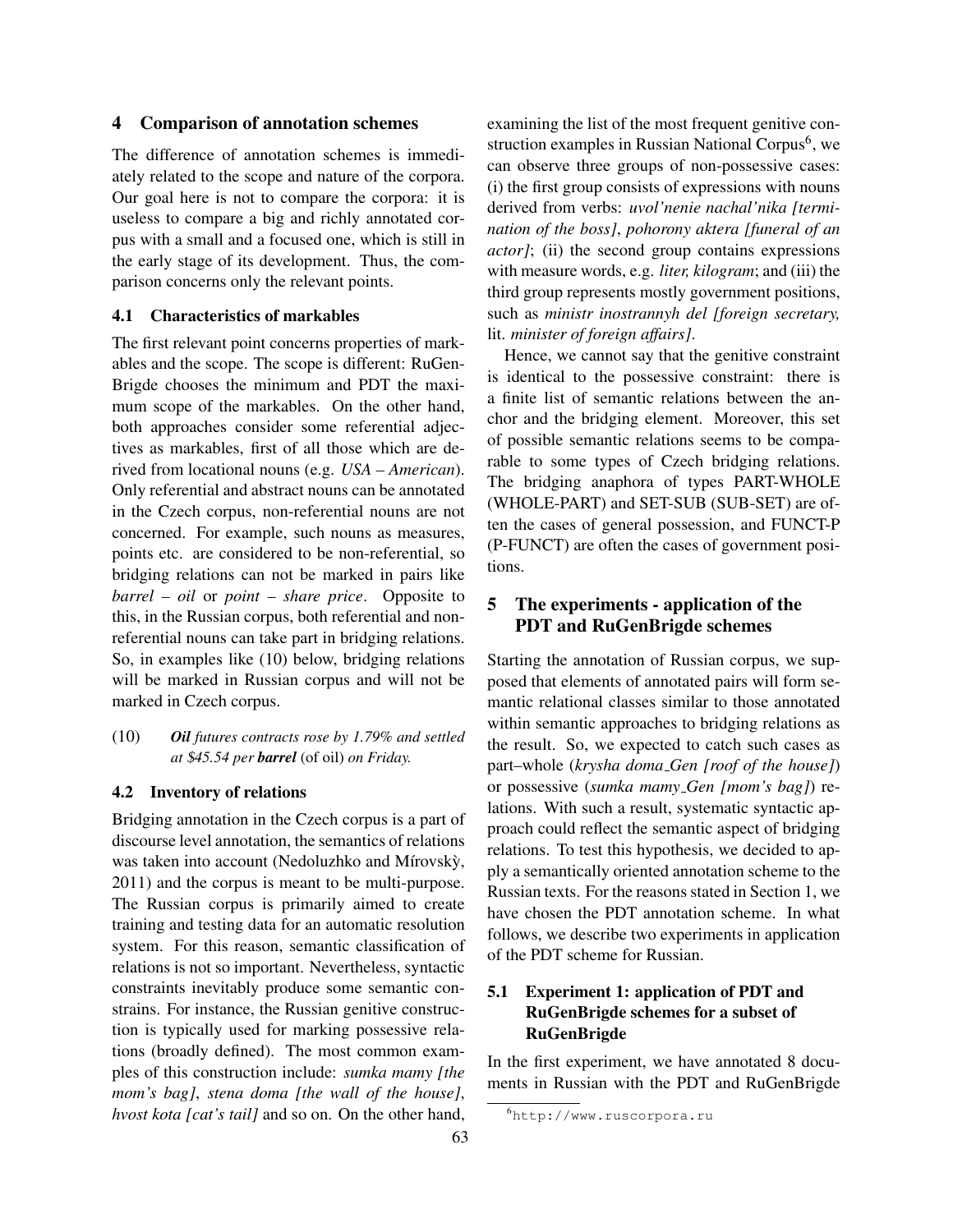### 4 Comparison of annotation schemes

The difference of annotation schemes is immediately related to the scope and nature of the corpora. Our goal here is not to compare the corpora: it is useless to compare a big and richly annotated corpus with a small and a focused one, which is still in the early stage of its development. Thus, the comparison concerns only the relevant points.

## 4.1 Characteristics of markables

The first relevant point concerns properties of markables and the scope. The scope is different: RuGen-Brigde chooses the minimum and PDT the maximum scope of the markables. On the other hand, both approaches consider some referential adjectives as markables, first of all those which are derived from locational nouns (e.g. *USA – American*). Only referential and abstract nouns can be annotated in the Czech corpus, non-referential nouns are not concerned. For example, such nouns as measures, points etc. are considered to be non-referential, so bridging relations can not be marked in pairs like *barrel – oil* or *point – share price*. Opposite to this, in the Russian corpus, both referential and nonreferential nouns can take part in bridging relations. So, in examples like (10) below, bridging relations will be marked in Russian corpus and will not be marked in Czech corpus.

(10) *Oil futures contracts rose by 1.79% and settled at* \$*45.54 per barrel* (of oil) *on Friday.*

#### 4.2 Inventory of relations

Bridging annotation in the Czech corpus is a part of discourse level annotation, the semantics of relations was taken into account (Nedoluzhko and Mírovský, 2011) and the corpus is meant to be multi-purpose. The Russian corpus is primarily aimed to create training and testing data for an automatic resolution system. For this reason, semantic classification of relations is not so important. Nevertheless, syntactic constraints inevitably produce some semantic constrains. For instance, the Russian genitive construction is typically used for marking possessive relations (broadly defined). The most common examples of this construction include: *sumka mamy [the mom's bag]*, *stena doma [the wall of the house]*, *hvost kota [cat's tail]* and so on. On the other hand,

examining the list of the most frequent genitive construction examples in Russian National Corpus<sup>6</sup>, we can observe three groups of non-possessive cases: (i) the first group consists of expressions with nouns derived from verbs: *uvol'nenie nachal'nika [termination of the boss]*, *pohorony aktera [funeral of an actor]*; (ii) the second group contains expressions with measure words, e.g. *liter, kilogram*; and (iii) the third group represents mostly government positions, such as *ministr inostrannyh del [foreign secretary,* lit. *minister of foreign affairs]*.

Hence, we cannot say that the genitive constraint is identical to the possessive constraint: there is a finite list of semantic relations between the anchor and the bridging element. Moreover, this set of possible semantic relations seems to be comparable to some types of Czech bridging relations. The bridging anaphora of types PART-WHOLE (WHOLE-PART) and SET-SUB (SUB-SET) are often the cases of general possession, and FUNCT-P (P-FUNCT) are often the cases of government positions.

# 5 The experiments - application of the PDT and RuGenBrigde schemes

Starting the annotation of Russian corpus, we supposed that elements of annotated pairs will form semantic relational classes similar to those annotated within semantic approaches to bridging relations as the result. So, we expected to catch such cases as part–whole (*krysha doma Gen [roof of the house]*) or possessive (*sumka mamy Gen [mom's bag]*) relations. With such a result, systematic syntactic approach could reflect the semantic aspect of bridging relations. To test this hypothesis, we decided to apply a semantically oriented annotation scheme to the Russian texts. For the reasons stated in Section 1, we have chosen the PDT annotation scheme. In what follows, we describe two experiments in application of the PDT scheme for Russian.

# 5.1 Experiment 1: application of PDT and RuGenBrigde schemes for a subset of RuGenBrigde

In the first experiment, we have annotated 8 documents in Russian with the PDT and RuGenBrigde

<sup>6</sup>http://www.ruscorpora.ru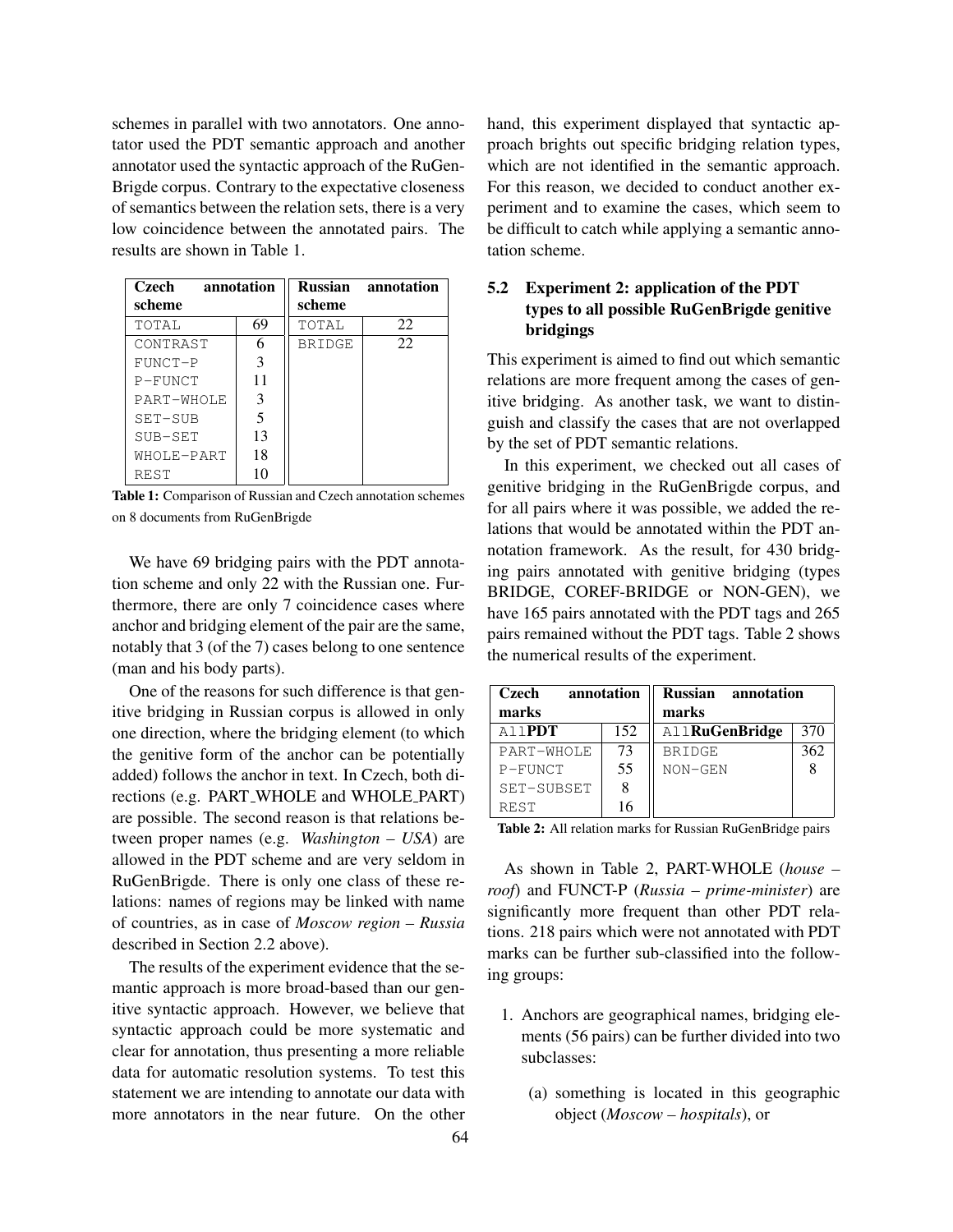schemes in parallel with two annotators. One annotator used the PDT semantic approach and another annotator used the syntactic approach of the RuGen-Brigde corpus. Contrary to the expectative closeness of semantics between the relation sets, there is a very low coincidence between the annotated pairs. The results are shown in Table 1.

| Czech<br>annotation |    |               | <b>Russian</b> annotation |
|---------------------|----|---------------|---------------------------|
| scheme              |    | scheme        |                           |
| TOTAL               | 69 | TOTAL         | 22                        |
| CONTRAST            | 6  | <b>BRIDGE</b> | 22.                       |
| FUNCT-P             | 3  |               |                           |
| $P-FUNCT$           | 11 |               |                           |
| PART-WHOLE          | 3  |               |                           |
| SET-SUB             | 5  |               |                           |
| SUB-SET             | 13 |               |                           |
| WHOLE-PART          | 18 |               |                           |
| REST                | 10 |               |                           |

Table 1: Comparison of Russian and Czech annotation schemes on 8 documents from RuGenBrigde

We have 69 bridging pairs with the PDT annotation scheme and only 22 with the Russian one. Furthermore, there are only 7 coincidence cases where anchor and bridging element of the pair are the same, notably that 3 (of the 7) cases belong to one sentence (man and his body parts).

One of the reasons for such difference is that genitive bridging in Russian corpus is allowed in only one direction, where the bridging element (to which the genitive form of the anchor can be potentially added) follows the anchor in text. In Czech, both directions (e.g. PART WHOLE and WHOLE PART) are possible. The second reason is that relations between proper names (e.g. *Washington – USA*) are allowed in the PDT scheme and are very seldom in RuGenBrigde. There is only one class of these relations: names of regions may be linked with name of countries, as in case of *Moscow region – Russia* described in Section 2.2 above).

The results of the experiment evidence that the semantic approach is more broad-based than our genitive syntactic approach. However, we believe that syntactic approach could be more systematic and clear for annotation, thus presenting a more reliable data for automatic resolution systems. To test this statement we are intending to annotate our data with more annotators in the near future. On the other hand, this experiment displayed that syntactic approach brights out specific bridging relation types, which are not identified in the semantic approach. For this reason, we decided to conduct another experiment and to examine the cases, which seem to be difficult to catch while applying a semantic annotation scheme.

# 5.2 Experiment 2: application of the PDT types to all possible RuGenBrigde genitive bridgings

This experiment is aimed to find out which semantic relations are more frequent among the cases of genitive bridging. As another task, we want to distinguish and classify the cases that are not overlapped by the set of PDT semantic relations.

In this experiment, we checked out all cases of genitive bridging in the RuGenBrigde corpus, and for all pairs where it was possible, we added the relations that would be annotated within the PDT annotation framework. As the result, for 430 bridging pairs annotated with genitive bridging (types BRIDGE, COREF-BRIDGE or NON-GEN), we have 165 pairs annotated with the PDT tags and 265 pairs remained without the PDT tags. Table 2 shows the numerical results of the experiment.

| Czech<br>annotation<br>marks |     | <b>Russian</b> annotation<br>marks |     |
|------------------------------|-----|------------------------------------|-----|
| A11 <b>PDT</b>               | 152 | <b>AllRuGenBridge</b>              | 370 |
| PART-WHOLE                   | 73  | <b>BRIDGE</b>                      | 362 |
| $P-FUNCT$                    | 55  | NON-GEN                            |     |
| SET-SUBSET                   |     |                                    |     |
| <b>REST</b>                  |     |                                    |     |

Table 2: All relation marks for Russian RuGenBridge pairs

As shown in Table 2, PART-WHOLE (*house – roof*) and FUNCT-P (*Russia – prime-minister*) are significantly more frequent than other PDT relations. 218 pairs which were not annotated with PDT marks can be further sub-classified into the following groups:

- 1. Anchors are geographical names, bridging elements (56 pairs) can be further divided into two subclasses:
	- (a) something is located in this geographic object (*Moscow – hospitals*), or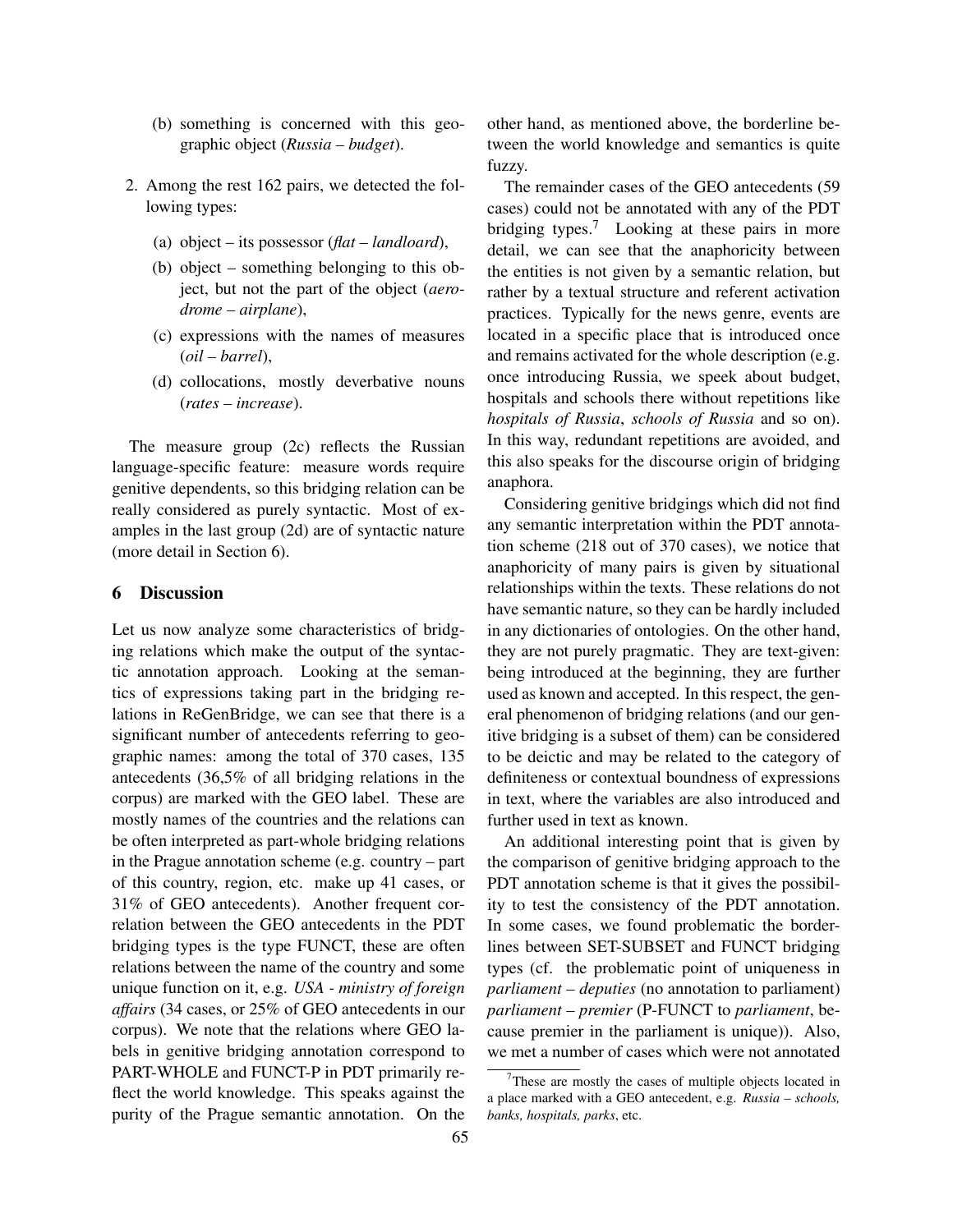- (b) something is concerned with this geographic object (*Russia – budget*).
- 2. Among the rest 162 pairs, we detected the following types:
	- (a) object its possessor (*flat landloard*),
	- (b) object something belonging to this object, but not the part of the object (*aerodrome – airplane*),
	- (c) expressions with the names of measures (*oil – barrel*),
	- (d) collocations, mostly deverbative nouns (*rates – increase*).

The measure group (2c) reflects the Russian language-specific feature: measure words require genitive dependents, so this bridging relation can be really considered as purely syntactic. Most of examples in the last group (2d) are of syntactic nature (more detail in Section 6).

## 6 Discussion

Let us now analyze some characteristics of bridging relations which make the output of the syntactic annotation approach. Looking at the semantics of expressions taking part in the bridging relations in ReGenBridge, we can see that there is a significant number of antecedents referring to geographic names: among the total of 370 cases, 135 antecedents (36,5% of all bridging relations in the corpus) are marked with the GEO label. These are mostly names of the countries and the relations can be often interpreted as part-whole bridging relations in the Prague annotation scheme (e.g. country – part of this country, region, etc. make up 41 cases, or 31% of GEO antecedents). Another frequent correlation between the GEO antecedents in the PDT bridging types is the type FUNCT, these are often relations between the name of the country and some unique function on it, e.g. *USA - ministry of foreign affairs* (34 cases, or 25% of GEO antecedents in our corpus). We note that the relations where GEO labels in genitive bridging annotation correspond to PART-WHOLE and FUNCT-P in PDT primarily reflect the world knowledge. This speaks against the purity of the Prague semantic annotation. On the other hand, as mentioned above, the borderline between the world knowledge and semantics is quite fuzzy.

The remainder cases of the GEO antecedents (59 cases) could not be annotated with any of the PDT bridging types.<sup>7</sup> Looking at these pairs in more detail, we can see that the anaphoricity between the entities is not given by a semantic relation, but rather by a textual structure and referent activation practices. Typically for the news genre, events are located in a specific place that is introduced once and remains activated for the whole description (e.g. once introducing Russia, we speek about budget, hospitals and schools there without repetitions like *hospitals of Russia*, *schools of Russia* and so on). In this way, redundant repetitions are avoided, and this also speaks for the discourse origin of bridging anaphora.

Considering genitive bridgings which did not find any semantic interpretation within the PDT annotation scheme (218 out of 370 cases), we notice that anaphoricity of many pairs is given by situational relationships within the texts. These relations do not have semantic nature, so they can be hardly included in any dictionaries of ontologies. On the other hand, they are not purely pragmatic. They are text-given: being introduced at the beginning, they are further used as known and accepted. In this respect, the general phenomenon of bridging relations (and our genitive bridging is a subset of them) can be considered to be deictic and may be related to the category of definiteness or contextual boundness of expressions in text, where the variables are also introduced and further used in text as known.

An additional interesting point that is given by the comparison of genitive bridging approach to the PDT annotation scheme is that it gives the possibility to test the consistency of the PDT annotation. In some cases, we found problematic the borderlines between SET-SUBSET and FUNCT bridging types (cf. the problematic point of uniqueness in *parliament – deputies* (no annotation to parliament) *parliament – premier* (P-FUNCT to *parliament*, because premier in the parliament is unique)). Also, we met a number of cases which were not annotated

 $7$ These are mostly the cases of multiple objects located in a place marked with a GEO antecedent, e.g. *Russia – schools, banks, hospitals, parks*, etc.